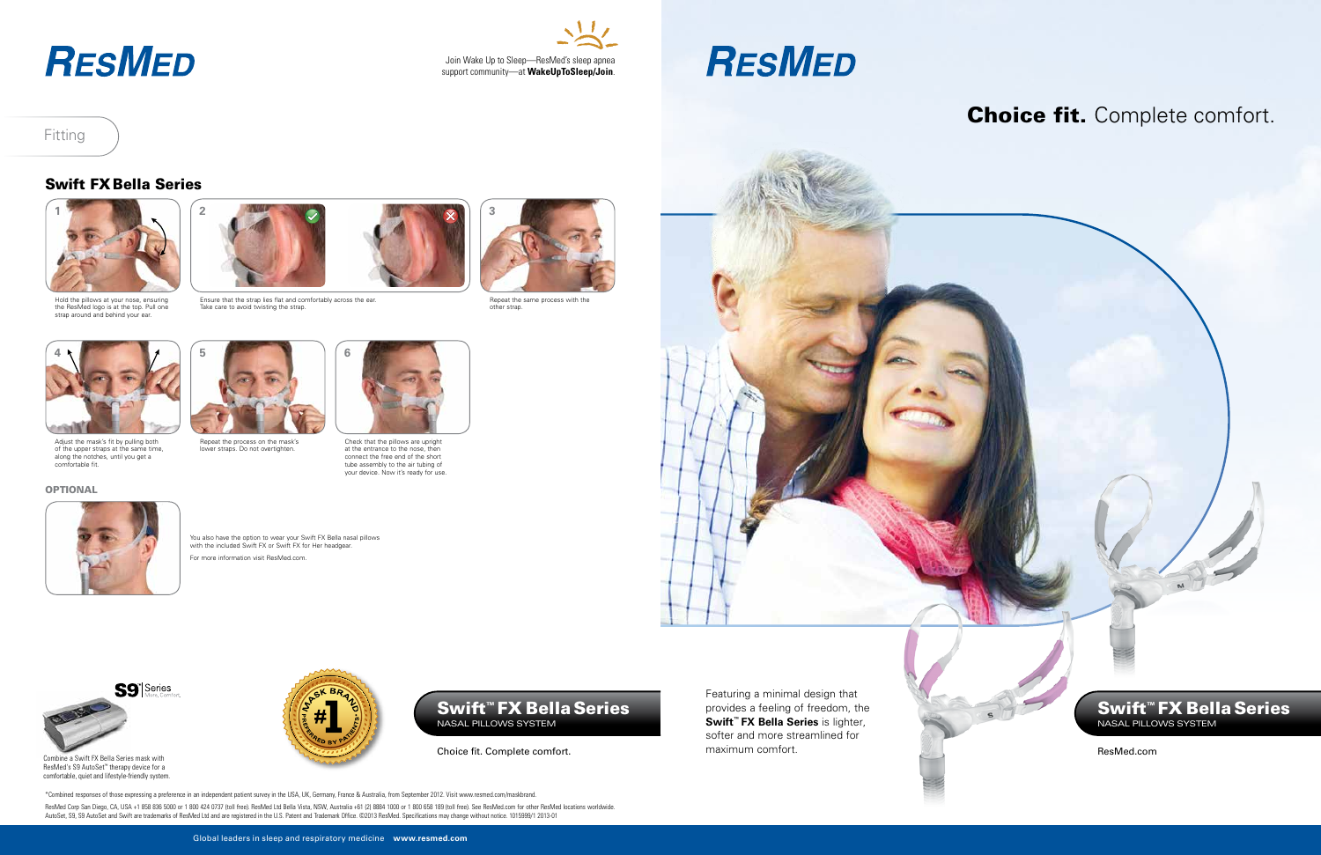Featuring a minimal design that provides a feeling of freedom, the **Swift™ FX Bella Series** is lighter, softer and more streamlined for maximum comfort. The community of the community of the community of the community of the community of the community of the community of the community of the community of the community of the community of the community of t

## Fitting



Choice fit. Complete comfort.

Swift™ FX Bella Series Nasal PILLOWS SYSTEM

## Swift FX Bella Series



Hold the pillows at your nose, ensuring the ResMed logo is at the top. Pull one strap around and behind your ear.





Adjust the mask's fit by pulling both of the upper straps at the same time, along the notches, until you get a comfortable fit.

### **OPTIONAL**



You also have the option to wear your Swift FX Bella nasal pillows with the included Swift FX or Swift FX for Her headgear. For more information visit ResMed.com.



Check that the pillows are upright at the entrance to the nose, then connect the free end of the short tube assembly to the air tubing of your device. Now it's ready for use.



Repeat the process on the mask's lower straps. Do not overtighten.



Ensure that the strap lies flat and comfortably across the ear. Take care to avoid twisting the strap.



Repeat the same process with the other strap.



## Choice fit. Complete comfort.



Combine a Swift FX Bella Series mask with ResMed's S9 AutoSet™ therapy device for a comfortable, quiet and lifestyle-friendly system.



## **RESMED**



# **RESMED**

\*Combined responses of those expressing a preference in an independent patient survey in the USA, UK, Germany, France & Australia, from September 2012. Visit www.resmed.com/maskbrand.

ResMed Corp San Diego, CA, USA +1 858 836 5000 or 1 800 424 0737 (toll free). ResMed Ltd Bella Vista, NSW, Australia +61 (2) 8884 1000 or 1 800 658 189 (toll free). See ResMed.com for other ResMed locations worldwide.<br>Auto